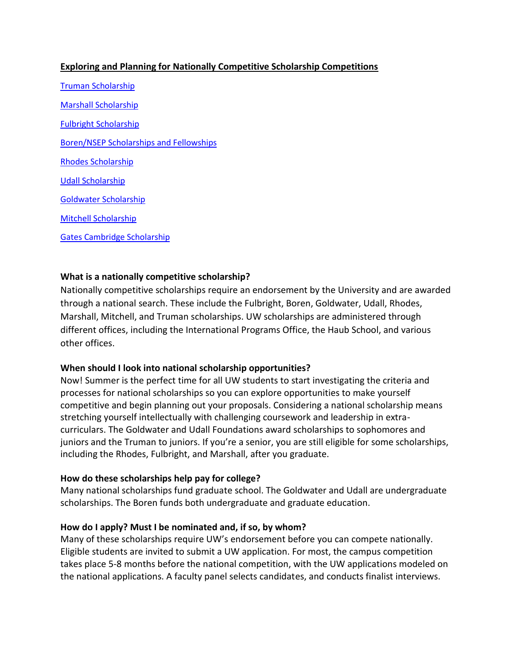## **Exploring and Planning for Nationally Competitive Scholarship Competitions**

[Truman](https://www.truman.gov/) Scholarship [Marshall](http://www.marshallscholarship.org/) Scholarship [Fulbright](http://us.fulbrightonline.org/) Scholarship [Boren/NSEP](https://www.borenawards.org/boren_scholarship/basics.html) Scholarships and Fellowships [Rhodes](http://www.rhodesscholar.org/) Scholarship [Udall](http://www.udall.gov/ourPrograms/scholarship/scholarship.aspx) Scholarship [Goldwater](https://goldwater.scholarsapply.org/) Scholarship [Mitchell](http://www.us-irelandalliance.org/content/3/en/George%20Mitchell%20Scholarship%20Program%20|%20US-Ireland%20Alliance.html) Scholarship [Gates Cambridge](https://www.gatescambridge.org/) Scholarship

### **What is a nationally competitive scholarship?**

Nationally competitive scholarships require an endorsement by the University and are awarded through a national search. These include the Fulbright, Boren, Goldwater, Udall, Rhodes, Marshall, Mitchell, and Truman scholarships. UW scholarships are administered through different offices, including the International Programs Office, the Haub School, and various other offices.

### **When should I look into national scholarship opportunities?**

Now! Summer is the perfect time for all UW students to start investigating the criteria and processes for national scholarships so you can explore opportunities to make yourself competitive and begin planning out your proposals. Considering a national scholarship means stretching yourself intellectually with challenging coursework and leadership in extracurriculars. The Goldwater and Udall Foundations award scholarships to sophomores and juniors and the Truman to juniors. If you're a senior, you are still eligible for some scholarships, including the Rhodes, Fulbright, and Marshall, after you graduate.

### **How do these scholarships help pay for college?**

Many national scholarships fund graduate school. The Goldwater and Udall are undergraduate scholarships. The Boren funds both undergraduate and graduate education.

### **How do I apply? Must I be nominated and, if so, by whom?**

Many of these scholarships require UW's endorsement before you can compete nationally. Eligible students are invited to submit a UW application. For most, the campus competition takes place 5-8 months before the national competition, with the UW applications modeled on the national applications. A faculty panel selects candidates, and conducts finalist interviews.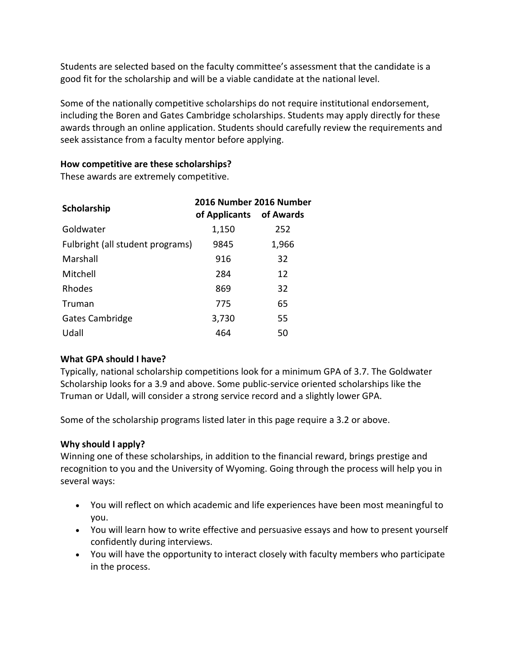Students are selected based on the faculty committee's assessment that the candidate is a good fit for the scholarship and will be a viable candidate at the national level.

Some of the nationally competitive scholarships do not require institutional endorsement, including the Boren and Gates Cambridge scholarships. Students may apply directly for these awards through an online application. Students should carefully review the requirements and seek assistance from a faculty mentor before applying.

## **How competitive are these scholarships?**

These awards are extremely competitive.

| Scholarship                      | 2016 Number 2016 Number<br>of Applicants | of Awards |
|----------------------------------|------------------------------------------|-----------|
| Goldwater                        | 1,150                                    | 252       |
| Fulbright (all student programs) | 9845                                     | 1,966     |
| Marshall                         | 916                                      | 32        |
| Mitchell                         | 284                                      | 12        |
| Rhodes                           | 869                                      | 32        |
| Truman                           | 775                                      | 65        |
| Gates Cambridge                  | 3,730                                    | 55        |
| Udall                            | 464                                      | 50        |

# **What GPA should I have?**

Typically, national scholarship competitions look for a minimum GPA of 3.7. The Goldwater Scholarship looks for a 3.9 and above. Some public-service oriented scholarships like the Truman or Udall, will consider a strong service record and a slightly lower GPA.

Some of the scholarship programs listed later in this page require a 3.2 or above.

# **Why should I apply?**

Winning one of these scholarships, in addition to the financial reward, brings prestige and recognition to you and the University of Wyoming. Going through the process will help you in several ways:

- You will reflect on which academic and life experiences have been most meaningful to you.
- You will learn how to write effective and persuasive essays and how to present yourself confidently during interviews.
- You will have the opportunity to interact closely with faculty members who participate in the process.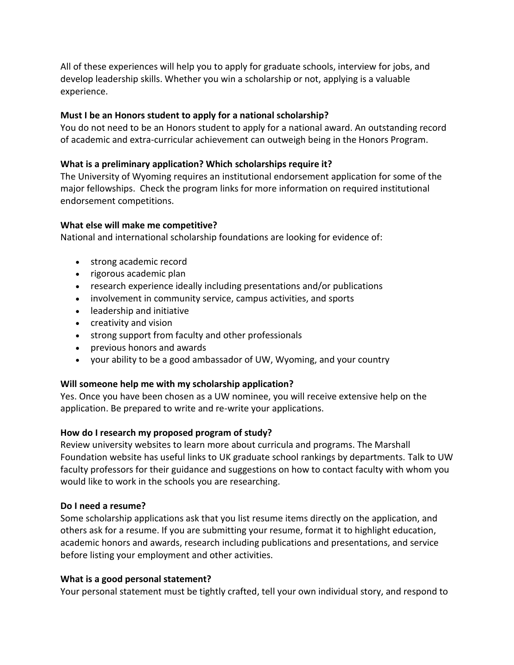All of these experiences will help you to apply for graduate schools, interview for jobs, and develop leadership skills. Whether you win a scholarship or not, applying is a valuable experience.

## **Must I be an Honors student to apply for a national scholarship?**

You do not need to be an Honors student to apply for a national award. An outstanding record of academic and extra-curricular achievement can outweigh being in the Honors Program.

### **What is a preliminary application? Which scholarships require it?**

The University of Wyoming requires an institutional endorsement application for some of the major fellowships. Check the program links for more information on required institutional endorsement competitions.

### **What else will make me competitive?**

National and international scholarship foundations are looking for evidence of:

- strong academic record
- rigorous academic plan
- research experience ideally including presentations and/or publications
- involvement in community service, campus activities, and sports
- leadership and initiative
- creativity and vision
- strong support from faculty and other professionals
- previous honors and awards
- your ability to be a good ambassador of UW, Wyoming, and your country

### **Will someone help me with my scholarship application?**

Yes. Once you have been chosen as a UW nominee, you will receive extensive help on the application. Be prepared to write and re-write your applications.

### **How do I research my proposed program of study?**

Review university websites to learn more about curricula and programs. The Marshall Foundation website has useful links to UK graduate school rankings by departments. Talk to UW faculty professors for their guidance and suggestions on how to contact faculty with whom you would like to work in the schools you are researching.

### **Do I need a resume?**

Some scholarship applications ask that you list resume items directly on the application, and others ask for a resume. If you are submitting your resume, format it to highlight education, academic honors and awards, research including publications and presentations, and service before listing your employment and other activities.

### **What is a good personal statement?**

Your personal statement must be tightly crafted, tell your own individual story, and respond to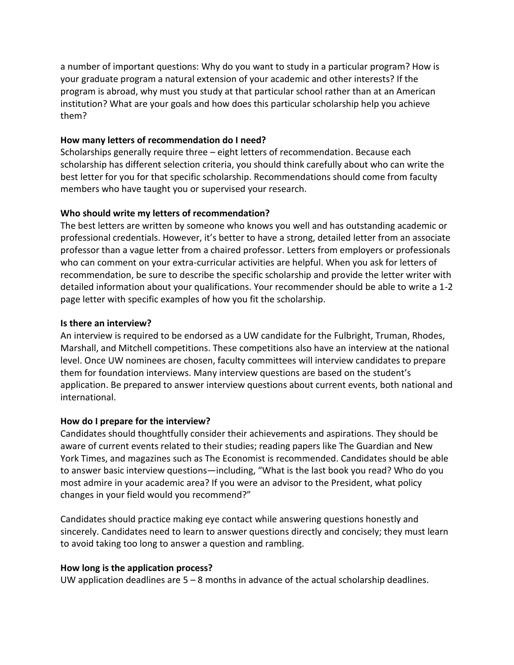a number of important questions: Why do you want to study in a particular program? How is your graduate program a natural extension of your academic and other interests? If the program is abroad, why must you study at that particular school rather than at an American institution? What are your goals and how does this particular scholarship help you achieve them?

### **How many letters of recommendation do I need?**

Scholarships generally require three – eight letters of recommendation. Because each scholarship has different selection criteria, you should think carefully about who can write the best letter for you for that specific scholarship. Recommendations should come from faculty members who have taught you or supervised your research.

### **Who should write my letters of recommendation?**

The best letters are written by someone who knows you well and has outstanding academic or professional credentials. However, it's better to have a strong, detailed letter from an associate professor than a vague letter from a chaired professor. Letters from employers or professionals who can comment on your extra-curricular activities are helpful. When you ask for letters of recommendation, be sure to describe the specific scholarship and provide the letter writer with detailed information about your qualifications. Your recommender should be able to write a 1-2 page letter with specific examples of how you fit the scholarship.

### **Is there an interview?**

An interview is required to be endorsed as a UW candidate for the Fulbright, Truman, Rhodes, Marshall, and Mitchell competitions. These competitions also have an interview at the national level. Once UW nominees are chosen, faculty committees will interview candidates to prepare them for foundation interviews. Many interview questions are based on the student's application. Be prepared to answer interview questions about current events, both national and international.

# **How do I prepare for the interview?**

Candidates should thoughtfully consider their achievements and aspirations. They should be aware of current events related to their studies; reading papers like The Guardian and New York Times, and magazines such as The Economist is recommended. Candidates should be able to answer basic interview questions—including, "What is the last book you read? Who do you most admire in your academic area? If you were an advisor to the President, what policy changes in your field would you recommend?"

Candidates should practice making eye contact while answering questions honestly and sincerely. Candidates need to learn to answer questions directly and concisely; they must learn to avoid taking too long to answer a question and rambling.

### **How long is the application process?**

UW application deadlines are  $5 - 8$  months in advance of the actual scholarship deadlines.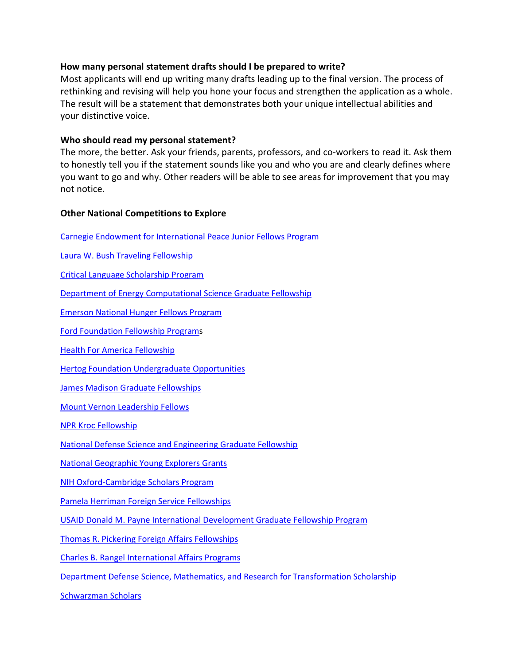### **How many personal statement drafts should I be prepared to write?**

Most applicants will end up writing many drafts leading up to the final version. The process of rethinking and revising will help you hone your focus and strengthen the application as a whole. The result will be a statement that demonstrates both your unique intellectual abilities and your distinctive voice.

#### **Who should read my personal statement?**

The more, the better. Ask your friends, parents, professors, and co-workers to read it. Ask them to honestly tell you if the statement sounds like you and who you are and clearly defines where you want to go and why. Other readers will be able to see areas for improvement that you may not notice.

#### **Other National Competitions to Explore**

[Carnegie Endowment for International Peace Junior Fellows Program](http://www.virginia.edu/cue/scholarships.php?go=9)

[Laura W. Bush Traveling Fellowship](http://www.state.gov/p/io/unesco/programs/143138.htm)

[Critical Language Scholarship Program](http://www.clscholarship.org/)

[Department of Energy Computational Science Graduate Fellowship](http://www.krellinst.org/csgf/)

[Emerson National Hunger Fellows Program](http://www.hungercenter.org/fellowships/emerson/)

[Ford Foundation Fellowship Programs](http://sites.nationalacademies.org/pga/fordfellowships/)

[Health For America Fellowship](http://www.healthforamerica.org/#!fellowship/yhpx2)

[Hertog Foundation Undergraduate Opportunities](http://hertogfoundation.org/our-programs)

[James Madison Graduate Fellowships](http://www.jamesmadison.gov/)

[Mount Vernon Leadership Fellows](http://www.mountvernon.org/library/fellowships/mount-vernon-fellows)

[NPR Kroc Fellowship](http://www.npr.org/about-npr/183691179/kroc-fellowship-details-and-application)

[National Defense Science and Engineering Graduate Fellowship](http://ndseg.asee.org/)

[National Geographic Young Explorers Grants](http://www.nationalgeographic.com/explorers/grants-programs/young-explorers/)

[NIH Oxford-Cambridge Scholars Program](http://oxcam.gpp.nih.gov/)

[Pamela Herriman Foreign Service Fellowships](http://www.wm.edu/offices/dccenter/additional/harriman/)

[USAID Donald M. Payne International Development Graduate Fellowship Program](http://www.paynefellows.org/?areaid=2&contentid=941)

[Thomas R. Pickering Foreign Affairs Fellowships](http://www.twc.edu/thomas-r-pickering-foreign-affairs-fellowship-program)

[Charles B. Rangel International Affairs Programs](http://www.rangelprogram.org/?contentid=0)

[Department Defense Science, Mathematics, and Research for Transformation Scholarship](http://smart.asee.org/)

[Schwarzman Scholars](http://schwarzmanscholars.org/)